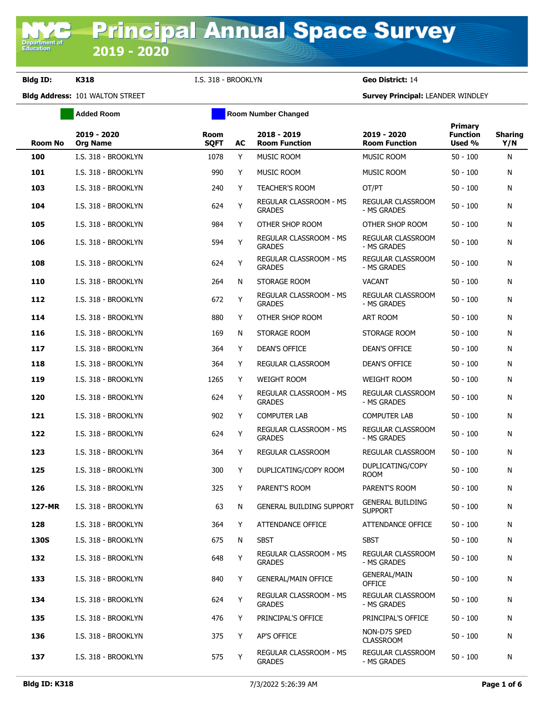**Department of**<br>Education

**Bldg ID: K318** I.S. 318 - BROOKLYN **Geo District:** 14

|                | <b>Added Room</b>              | <b>Room Number Changed</b> |    |                                         |                                           |                                      |                       |
|----------------|--------------------------------|----------------------------|----|-----------------------------------------|-------------------------------------------|--------------------------------------|-----------------------|
| <b>Room No</b> | 2019 - 2020<br><b>Org Name</b> | Room<br><b>SQFT</b>        | AC | 2018 - 2019<br><b>Room Function</b>     | 2019 - 2020<br><b>Room Function</b>       | Primary<br><b>Function</b><br>Used % | <b>Sharing</b><br>Y/N |
| 100            | I.S. 318 - BROOKLYN            | 1078                       | Y  | <b>MUSIC ROOM</b>                       | <b>MUSIC ROOM</b>                         | $50 - 100$                           | N                     |
| 101            | I.S. 318 - BROOKLYN            | 990                        | Y  | MUSIC ROOM                              | <b>MUSIC ROOM</b>                         | $50 - 100$                           | N                     |
| 103            | I.S. 318 - BROOKLYN            | 240                        | Y  | <b>TEACHER'S ROOM</b>                   | OT/PT                                     | $50 - 100$                           | N                     |
| 104            | I.S. 318 - BROOKLYN            | 624                        | Y  | REGULAR CLASSROOM - MS<br><b>GRADES</b> | <b>REGULAR CLASSROOM</b><br>- MS GRADES   | $50 - 100$                           | N                     |
| 105            | I.S. 318 - BROOKLYN            | 984                        | Y  | OTHER SHOP ROOM                         | OTHER SHOP ROOM                           | $50 - 100$                           | N                     |
| 106            | I.S. 318 - BROOKLYN            | 594                        | Y  | REGULAR CLASSROOM - MS<br><b>GRADES</b> | REGULAR CLASSROOM<br>- MS GRADES          | $50 - 100$                           | N                     |
| 108            | I.S. 318 - BROOKLYN            | 624                        | Y  | REGULAR CLASSROOM - MS<br><b>GRADES</b> | REGULAR CLASSROOM<br>- MS GRADES          | $50 - 100$                           | N                     |
| 110            | I.S. 318 - BROOKLYN            | 264                        | N  | STORAGE ROOM                            | <b>VACANT</b>                             | $50 - 100$                           | N                     |
| 112            | I.S. 318 - BROOKLYN            | 672                        | Y  | REGULAR CLASSROOM - MS<br><b>GRADES</b> | REGULAR CLASSROOM<br>- MS GRADES          | $50 - 100$                           | N                     |
| 114            | I.S. 318 - BROOKLYN            | 880                        | Y  | OTHER SHOP ROOM                         | ART ROOM                                  | $50 - 100$                           | N                     |
| 116            | I.S. 318 - BROOKLYN            | 169                        | N  | STORAGE ROOM                            | STORAGE ROOM                              | $50 - 100$                           | N                     |
| 117            | I.S. 318 - BROOKLYN            | 364                        | Y  | DEAN'S OFFICE                           | DEAN'S OFFICE                             | $50 - 100$                           | N                     |
| 118            | I.S. 318 - BROOKLYN            | 364                        | Y  | REGULAR CLASSROOM                       | <b>DEAN'S OFFICE</b>                      | $50 - 100$                           | N                     |
| 119            | I.S. 318 - BROOKLYN            | 1265                       | Y  | <b>WEIGHT ROOM</b>                      | <b>WEIGHT ROOM</b>                        | $50 - 100$                           | N                     |
| 120            | I.S. 318 - BROOKLYN            | 624                        | Y  | REGULAR CLASSROOM - MS<br><b>GRADES</b> | REGULAR CLASSROOM<br>- MS GRADES          | $50 - 100$                           | N                     |
| 121            | I.S. 318 - BROOKLYN            | 902                        | Y  | <b>COMPUTER LAB</b>                     | <b>COMPUTER LAB</b>                       | $50 - 100$                           | N                     |
| 122            | I.S. 318 - BROOKLYN            | 624                        | Y  | REGULAR CLASSROOM - MS<br><b>GRADES</b> | REGULAR CLASSROOM<br>- MS GRADES          | $50 - 100$                           | N                     |
| 123            | I.S. 318 - BROOKLYN            | 364                        | Y  | REGULAR CLASSROOM                       | REGULAR CLASSROOM                         | $50 - 100$                           | N                     |
| 125            | I.S. 318 - BROOKLYN            | 300                        | Y  | DUPLICATING/COPY ROOM                   | DUPLICATING/COPY<br><b>ROOM</b>           | $50 - 100$                           | N                     |
| 126            | I.S. 318 - BROOKLYN            | 325                        | Y  | PARENT'S ROOM                           | PARENT'S ROOM                             | $50 - 100$                           | N                     |
| 127-MR         | I.S. 318 - BROOKLYN            | 63                         | N  | <b>GENERAL BUILDING SUPPORT</b>         | <b>GENERAL BUILDING</b><br><b>SUPPORT</b> | 50 - 100                             | N                     |
| 128            | I.S. 318 - BROOKLYN            | 364                        | Y  | ATTENDANCE OFFICE                       | ATTENDANCE OFFICE                         | $50 - 100$                           | N                     |
| <b>130S</b>    | I.S. 318 - BROOKLYN            | 675                        | N  | <b>SBST</b>                             | <b>SBST</b>                               | $50 - 100$                           | N                     |
| 132            | I.S. 318 - BROOKLYN            | 648                        | Y  | REGULAR CLASSROOM - MS<br><b>GRADES</b> | REGULAR CLASSROOM<br>- MS GRADES          | $50 - 100$                           | N                     |
| 133            | I.S. 318 - BROOKLYN            | 840                        | Y  | <b>GENERAL/MAIN OFFICE</b>              | <b>GENERAL/MAIN</b><br><b>OFFICE</b>      | $50 - 100$                           | N                     |
| 134            | I.S. 318 - BROOKLYN            | 624                        | Y  | REGULAR CLASSROOM - MS<br><b>GRADES</b> | REGULAR CLASSROOM<br>- MS GRADES          | $50 - 100$                           | N                     |
| 135            | I.S. 318 - BROOKLYN            | 476                        | Y  | PRINCIPAL'S OFFICE                      | PRINCIPAL'S OFFICE                        | $50 - 100$                           | N                     |
| 136            | I.S. 318 - BROOKLYN            | 375                        | Y  | AP'S OFFICE                             | NON-D75 SPED<br><b>CLASSROOM</b>          | $50 - 100$                           | N                     |
| 137            | I.S. 318 - BROOKLYN            | 575                        | Y  | REGULAR CLASSROOM - MS<br><b>GRADES</b> | REGULAR CLASSROOM<br>- MS GRADES          | $50 - 100$                           | N                     |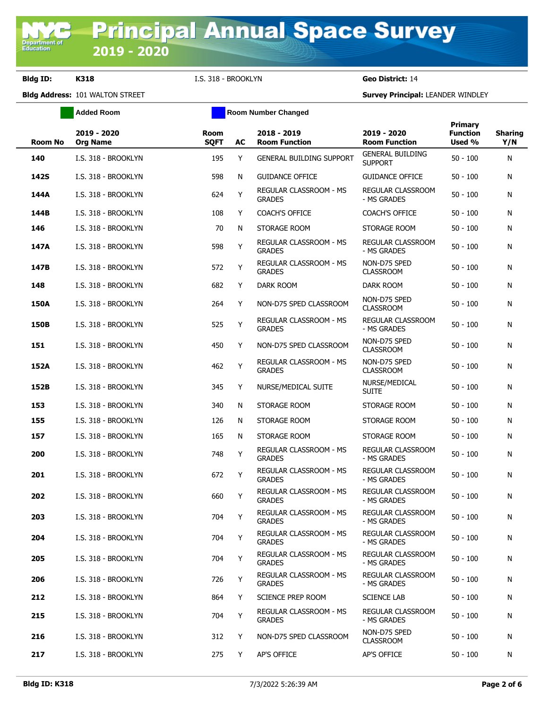**Bldg ID: K318** I.S. 318 - BROOKLYN **Geo District:** 14

|             | <b>Added Room</b>              | <b>Room Number Changed</b> |    |                                                |                                           |                                             |                       |
|-------------|--------------------------------|----------------------------|----|------------------------------------------------|-------------------------------------------|---------------------------------------------|-----------------------|
| Room No     | 2019 - 2020<br><b>Org Name</b> | <b>Room</b><br><b>SQFT</b> | AC | $2018 - 2019$<br><b>Room Function</b>          | 2019 - 2020<br><b>Room Function</b>       | <b>Primary</b><br><b>Function</b><br>Used % | <b>Sharing</b><br>Y/N |
| 140         | I.S. 318 - BROOKLYN            | 195                        | Y  | <b>GENERAL BUILDING SUPPORT</b>                | <b>GENERAL BUILDING</b><br><b>SUPPORT</b> | $50 - 100$                                  | N                     |
| <b>142S</b> | I.S. 318 - BROOKLYN            | 598                        | N  | <b>GUIDANCE OFFICE</b>                         | <b>GUIDANCE OFFICE</b>                    | $50 - 100$                                  | N                     |
| 144A        | I.S. 318 - BROOKLYN            | 624                        | Y  | REGULAR CLASSROOM - MS<br><b>GRADES</b>        | <b>REGULAR CLASSROOM</b><br>- MS GRADES   | $50 - 100$                                  | N                     |
| 144B        | I.S. 318 - BROOKLYN            | 108                        | Y  | <b>COACH'S OFFICE</b>                          | <b>COACH'S OFFICE</b>                     | $50 - 100$                                  | N                     |
| 146         | I.S. 318 - BROOKLYN            | 70                         | N  | STORAGE ROOM                                   | STORAGE ROOM                              | $50 - 100$                                  | N                     |
| 147A        | I.S. 318 - BROOKLYN            | 598                        | Y  | REGULAR CLASSROOM - MS<br><b>GRADES</b>        | REGULAR CLASSROOM<br>- MS GRADES          | $50 - 100$                                  | N                     |
| 147B        | I.S. 318 - BROOKLYN            | 572                        | Y  | REGULAR CLASSROOM - MS<br><b>GRADES</b>        | NON-D75 SPED<br><b>CLASSROOM</b>          | $50 - 100$                                  | N                     |
| 148         | I.S. 318 - BROOKLYN            | 682                        | Y  | DARK ROOM                                      | DARK ROOM                                 | $50 - 100$                                  | N                     |
| <b>150A</b> | I.S. 318 - BROOKLYN            | 264                        | Y  | NON-D75 SPED CLASSROOM                         | NON-D75 SPED<br><b>CLASSROOM</b>          | $50 - 100$                                  | N                     |
| 150B        | I.S. 318 - BROOKLYN            | 525                        | Y  | REGULAR CLASSROOM - MS<br><b>GRADES</b>        | <b>REGULAR CLASSROOM</b><br>- MS GRADES   | $50 - 100$                                  | N                     |
| 151         | I.S. 318 - BROOKLYN            | 450                        | Y  | NON-D75 SPED CLASSROOM                         | NON-D75 SPED<br><b>CLASSROOM</b>          | $50 - 100$                                  | N                     |
| 152A        | I.S. 318 - BROOKLYN            | 462                        | Y  | REGULAR CLASSROOM - MS<br><b>GRADES</b>        | NON-D75 SPED<br><b>CLASSROOM</b>          | $50 - 100$                                  | N                     |
| 152B        | I.S. 318 - BROOKLYN            | 345                        | Y  | NURSE/MEDICAL SUITE                            | NURSE/MEDICAL<br><b>SUITE</b>             | $50 - 100$                                  | N                     |
| 153         | I.S. 318 - BROOKLYN            | 340                        | N  | STORAGE ROOM                                   | STORAGE ROOM                              | $50 - 100$                                  | N                     |
| 155         | I.S. 318 - BROOKLYN            | 126                        | N  | STORAGE ROOM                                   | STORAGE ROOM                              | $50 - 100$                                  | N                     |
| 157         | I.S. 318 - BROOKLYN            | 165                        | N  | STORAGE ROOM                                   | STORAGE ROOM                              | $50 - 100$                                  | N                     |
| 200         | I.S. 318 - BROOKLYN            | 748                        | Y  | REGULAR CLASSROOM - MS<br><b>GRADES</b>        | <b>REGULAR CLASSROOM</b><br>- MS GRADES   | $50 - 100$                                  | N                     |
| 201         | I.S. 318 - BROOKLYN            | 672                        | Y  | <b>REGULAR CLASSROOM - MS</b><br><b>GRADES</b> | <b>REGULAR CLASSROOM</b><br>- MS GRADES   | $50 - 100$                                  | N                     |
| 202         | I.S. 318 - BROOKLYN            | 660                        | Y  | REGULAR CLASSROOM - MS<br><b>GRADES</b>        | REGULAR CLASSROOM<br>- MS GRADES          | $50 - 100$                                  | N                     |
| 203         | I.S. 318 - BROOKLYN            | 704                        | Υ  | REGULAR CLASSROOM - MS<br><b>GRADES</b>        | REGULAR CLASSROOM<br>- MS GRADES          | $50 - 100$                                  | N                     |
| 204         | I.S. 318 - BROOKLYN            | 704                        | Y  | REGULAR CLASSROOM - MS<br><b>GRADES</b>        | REGULAR CLASSROOM<br>- MS GRADES          | $50 - 100$                                  | N                     |
| 205         | I.S. 318 - BROOKLYN            | 704                        | Y  | REGULAR CLASSROOM - MS<br><b>GRADES</b>        | <b>REGULAR CLASSROOM</b><br>- MS GRADES   | $50 - 100$                                  | N                     |
| 206         | I.S. 318 - BROOKLYN            | 726                        | Y  | REGULAR CLASSROOM - MS<br><b>GRADES</b>        | <b>REGULAR CLASSROOM</b><br>- MS GRADES   | $50 - 100$                                  | N                     |
| 212         | I.S. 318 - BROOKLYN            | 864                        | Y  | SCIENCE PREP ROOM                              | <b>SCIENCE LAB</b>                        | $50 - 100$                                  | N                     |
| 215         | I.S. 318 - BROOKLYN            | 704                        | Y  | REGULAR CLASSROOM - MS<br><b>GRADES</b>        | <b>REGULAR CLASSROOM</b><br>- MS GRADES   | $50 - 100$                                  | N                     |
| 216         | I.S. 318 - BROOKLYN            | 312                        | Y  | NON-D75 SPED CLASSROOM                         | NON-D75 SPED<br><b>CLASSROOM</b>          | $50 - 100$                                  | N                     |
| 217         | I.S. 318 - BROOKLYN            | 275                        | Y  | AP'S OFFICE                                    | <b>AP'S OFFICE</b>                        | $50 - 100$                                  | N                     |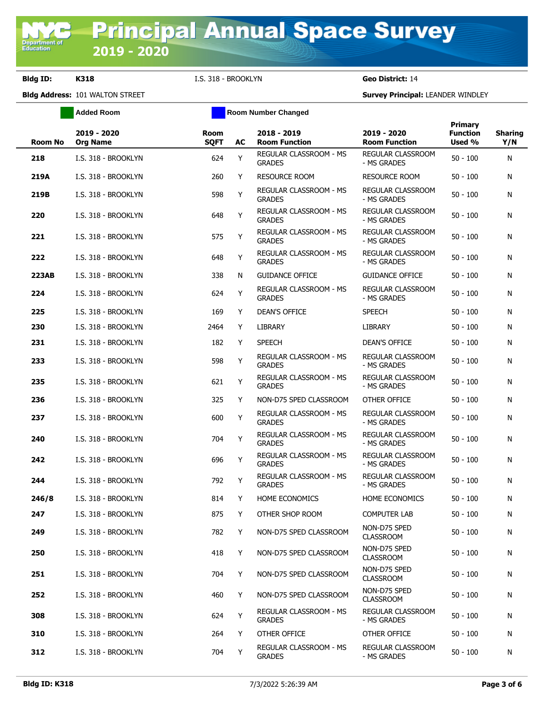**Bldg ID: K318** I.S. 318 - BROOKLYN **Geo District:** 14

**Added Room Room Room Number Changed** 

| <b>Room No</b> | 2019 - 2020<br><b>Org Name</b> | <b>Room</b><br><b>SQFT</b> | AC | 2018 - 2019<br><b>Room Function</b>            | 2019 - 2020<br><b>Room Function</b>     | <b>Primary</b><br><b>Function</b><br>Used % | <b>Sharing</b><br>Y/N |
|----------------|--------------------------------|----------------------------|----|------------------------------------------------|-----------------------------------------|---------------------------------------------|-----------------------|
| 218            | I.S. 318 - BROOKLYN            | 624                        | Y  | REGULAR CLASSROOM - MS<br><b>GRADES</b>        | <b>REGULAR CLASSROOM</b><br>- MS GRADES | $50 - 100$                                  | N                     |
| 219A           | I.S. 318 - BROOKLYN            | 260                        | Y  | <b>RESOURCE ROOM</b>                           | <b>RESOURCE ROOM</b>                    | $50 - 100$                                  | N                     |
| 219B           | I.S. 318 - BROOKLYN            | 598                        | Υ  | REGULAR CLASSROOM - MS<br><b>GRADES</b>        | REGULAR CLASSROOM<br>- MS GRADES        | $50 - 100$                                  | N                     |
| 220            | I.S. 318 - BROOKLYN            | 648                        | Y  | REGULAR CLASSROOM - MS<br><b>GRADES</b>        | <b>REGULAR CLASSROOM</b><br>- MS GRADES | $50 - 100$                                  | N                     |
| 221            | I.S. 318 - BROOKLYN            | 575                        | Υ  | REGULAR CLASSROOM - MS<br><b>GRADES</b>        | <b>REGULAR CLASSROOM</b><br>- MS GRADES | $50 - 100$                                  | N                     |
| 222            | I.S. 318 - BROOKLYN            | 648                        | Υ  | REGULAR CLASSROOM - MS<br><b>GRADES</b>        | REGULAR CLASSROOM<br>- MS GRADES        | $50 - 100$                                  | N                     |
| <b>223AB</b>   | I.S. 318 - BROOKLYN            | 338                        | N  | <b>GUIDANCE OFFICE</b>                         | <b>GUIDANCE OFFICE</b>                  | $50 - 100$                                  | N                     |
| 224            | I.S. 318 - BROOKLYN            | 624                        | Y  | REGULAR CLASSROOM - MS<br><b>GRADES</b>        | REGULAR CLASSROOM<br>- MS GRADES        | $50 - 100$                                  | N                     |
| 225            | I.S. 318 - BROOKLYN            | 169                        | Y  | <b>DEAN'S OFFICE</b>                           | <b>SPEECH</b>                           | $50 - 100$                                  | N                     |
| 230            | I.S. 318 - BROOKLYN            | 2464                       | Y  | <b>LIBRARY</b>                                 | <b>LIBRARY</b>                          | $50 - 100$                                  | N                     |
| 231            | I.S. 318 - BROOKLYN            | 182                        | Y  | <b>SPEECH</b>                                  | <b>DEAN'S OFFICE</b>                    | $50 - 100$                                  | N                     |
| 233            | I.S. 318 - BROOKLYN            | 598                        | Y  | REGULAR CLASSROOM - MS<br><b>GRADES</b>        | <b>REGULAR CLASSROOM</b><br>- MS GRADES | $50 - 100$                                  | N                     |
| 235            | I.S. 318 - BROOKLYN            | 621                        | Υ  | <b>REGULAR CLASSROOM - MS</b><br><b>GRADES</b> | <b>REGULAR CLASSROOM</b><br>- MS GRADES | $50 - 100$                                  | N                     |
| 236            | I.S. 318 - BROOKLYN            | 325                        | Y  | NON-D75 SPED CLASSROOM                         | OTHER OFFICE                            | $50 - 100$                                  | N                     |
| 237            | I.S. 318 - BROOKLYN            | 600                        | Υ  | REGULAR CLASSROOM - MS<br><b>GRADES</b>        | REGULAR CLASSROOM<br>- MS GRADES        | $50 - 100$                                  | N                     |
| 240            | I.S. 318 - BROOKLYN            | 704                        | Y  | REGULAR CLASSROOM - MS<br><b>GRADES</b>        | REGULAR CLASSROOM<br>- MS GRADES        | $50 - 100$                                  | N                     |
| 242            | I.S. 318 - BROOKLYN            | 696                        | Y  | REGULAR CLASSROOM - MS<br><b>GRADES</b>        | REGULAR CLASSROOM<br>- MS GRADES        | $50 - 100$                                  | N                     |
| 244            | I.S. 318 - BROOKLYN            | 792                        | Y  | REGULAR CLASSROOM - MS<br><b>GRADES</b>        | <b>REGULAR CLASSROOM</b><br>- MS GRADES | $50 - 100$                                  | N                     |
| 246/8          | I.S. 318 - BROOKLYN            | 814                        | Y  | HOME ECONOMICS                                 | HOME ECONOMICS                          | $50 - 100$                                  | N                     |
| 247            | I.S. 318 - BROOKLYN            | 875                        | Y  | OTHER SHOP ROOM                                | <b>COMPUTER LAB</b>                     | $50 - 100$                                  | N                     |
| 249            | I.S. 318 - BROOKLYN            | 782                        | Y  | NON-D75 SPED CLASSROOM                         | NON-D75 SPED<br><b>CLASSROOM</b>        | $50 - 100$                                  | N                     |
| 250            | I.S. 318 - BROOKLYN            | 418                        | Y  | NON-D75 SPED CLASSROOM                         | NON-D75 SPED<br><b>CLASSROOM</b>        | $50 - 100$                                  | N                     |
| 251            | I.S. 318 - BROOKLYN            | 704                        | Y  | NON-D75 SPED CLASSROOM                         | NON-D75 SPED<br><b>CLASSROOM</b>        | $50 - 100$                                  | N                     |
| 252            | I.S. 318 - BROOKLYN            | 460                        | Y  | NON-D75 SPED CLASSROOM                         | NON-D75 SPED<br><b>CLASSROOM</b>        | $50 - 100$                                  | N                     |
| 308            | I.S. 318 - BROOKLYN            | 624                        | Y  | REGULAR CLASSROOM - MS<br><b>GRADES</b>        | <b>REGULAR CLASSROOM</b><br>- MS GRADES | $50 - 100$                                  | N                     |
| 310            | I.S. 318 - BROOKLYN            | 264                        | Y  | OTHER OFFICE                                   | OTHER OFFICE                            | $50 - 100$                                  | N                     |
| 312            | I.S. 318 - BROOKLYN            | 704                        | Y  | REGULAR CLASSROOM - MS<br><b>GRADES</b>        | REGULAR CLASSROOM<br>- MS GRADES        | $50 - 100$                                  | N                     |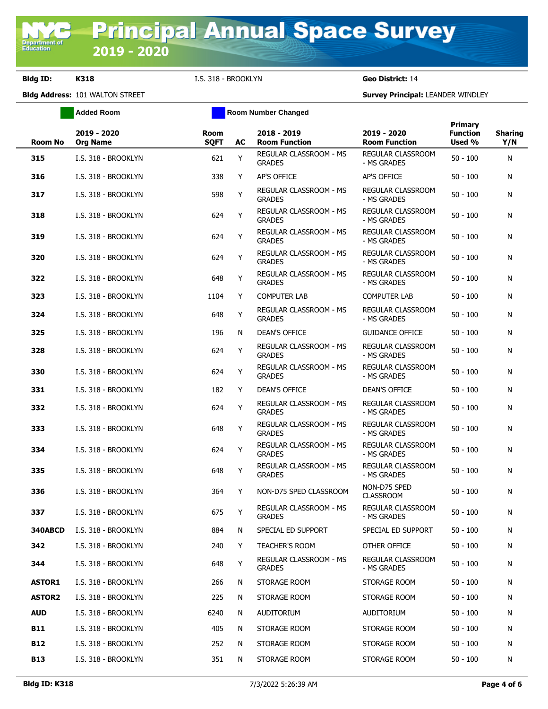**Bldg ID: K318** I.S. 318 - BROOKLYN **Geo District:** 14

**Added Room Room Room Number Changed** 

| <b>Room No</b> | 2019 - 2020<br><b>Org Name</b> | <b>Room</b><br><b>SQFT</b> | AC | 2018 - 2019<br><b>Room Function</b>     | 2019 - 2020<br><b>Room Function</b>     | <b>Primary</b><br><b>Function</b><br>Used % | <b>Sharing</b><br>Y/N |
|----------------|--------------------------------|----------------------------|----|-----------------------------------------|-----------------------------------------|---------------------------------------------|-----------------------|
| 315            | I.S. 318 - BROOKLYN            | 621                        | Y  | REGULAR CLASSROOM - MS<br><b>GRADES</b> | REGULAR CLASSROOM<br>- MS GRADES        | $50 - 100$                                  | N                     |
| 316            | I.S. 318 - BROOKLYN            | 338                        | Y  | <b>AP'S OFFICE</b>                      | AP'S OFFICE                             | $50 - 100$                                  | N                     |
| 317            | I.S. 318 - BROOKLYN            | 598                        | Y  | REGULAR CLASSROOM - MS<br><b>GRADES</b> | <b>REGULAR CLASSROOM</b><br>- MS GRADES | $50 - 100$                                  | N                     |
| 318            | I.S. 318 - BROOKLYN            | 624                        | Y  | REGULAR CLASSROOM - MS<br><b>GRADES</b> | <b>REGULAR CLASSROOM</b><br>- MS GRADES | $50 - 100$                                  | N                     |
| 319            | I.S. 318 - BROOKLYN            | 624                        | Y  | REGULAR CLASSROOM - MS<br><b>GRADES</b> | REGULAR CLASSROOM<br>- MS GRADES        | $50 - 100$                                  | N                     |
| 320            | I.S. 318 - BROOKLYN            | 624                        | Y  | REGULAR CLASSROOM - MS<br><b>GRADES</b> | REGULAR CLASSROOM<br>- MS GRADES        | $50 - 100$                                  | N                     |
| 322            | I.S. 318 - BROOKLYN            | 648                        | Υ  | REGULAR CLASSROOM - MS<br><b>GRADES</b> | REGULAR CLASSROOM<br>- MS GRADES        | $50 - 100$                                  | N                     |
| 323            | I.S. 318 - BROOKLYN            | 1104                       | Y  | <b>COMPUTER LAB</b>                     | <b>COMPUTER LAB</b>                     | $50 - 100$                                  | N                     |
| 324            | I.S. 318 - BROOKLYN            | 648                        | Υ  | REGULAR CLASSROOM - MS<br><b>GRADES</b> | REGULAR CLASSROOM<br>- MS GRADES        | $50 - 100$                                  | N                     |
| 325            | I.S. 318 - BROOKLYN            | 196                        | N  | <b>DEAN'S OFFICE</b>                    | <b>GUIDANCE OFFICE</b>                  | $50 - 100$                                  | N                     |
| 328            | I.S. 318 - BROOKLYN            | 624                        | Υ  | REGULAR CLASSROOM - MS<br><b>GRADES</b> | REGULAR CLASSROOM<br>- MS GRADES        | $50 - 100$                                  | N                     |
| 330            | I.S. 318 - BROOKLYN            | 624                        | Υ  | REGULAR CLASSROOM - MS<br><b>GRADES</b> | REGULAR CLASSROOM<br>- MS GRADES        | $50 - 100$                                  | N                     |
| 331            | I.S. 318 - BROOKLYN            | 182                        | Y  | <b>DEAN'S OFFICE</b>                    | <b>DEAN'S OFFICE</b>                    | $50 - 100$                                  | N                     |
| 332            | I.S. 318 - BROOKLYN            | 624                        | Υ  | REGULAR CLASSROOM - MS<br><b>GRADES</b> | REGULAR CLASSROOM<br>- MS GRADES        | $50 - 100$                                  | N                     |
| 333            | I.S. 318 - BROOKLYN            | 648                        | Υ  | REGULAR CLASSROOM - MS<br><b>GRADES</b> | REGULAR CLASSROOM<br>- MS GRADES        | $50 - 100$                                  | N                     |
| 334            | I.S. 318 - BROOKLYN            | 624                        | Y  | REGULAR CLASSROOM - MS<br><b>GRADES</b> | REGULAR CLASSROOM<br>- MS GRADES        | $50 - 100$                                  | N                     |
| 335            | I.S. 318 - BROOKLYN            | 648                        | Υ  | REGULAR CLASSROOM - MS<br><b>GRADES</b> | <b>REGULAR CLASSROOM</b><br>- MS GRADES | $50 - 100$                                  | N                     |
| 336            | I.S. 318 - BROOKLYN            | 364                        | Y  | NON-D75 SPED CLASSROOM                  | NON-D75 SPED<br><b>CLASSROOM</b>        | $50 - 100$                                  | N                     |
| 337            | I.S. 318 - BROOKLYN            | 675                        | Y  | REGULAR CLASSROOM - MS<br><b>GRADES</b> | <b>REGULAR CLASSROOM</b><br>- MS GRADES | $50 - 100$                                  | N                     |
| 340ABCD        | I.S. 318 - BROOKLYN            | 884                        | N  | SPECIAL ED SUPPORT                      | SPECIAL ED SUPPORT                      | $50 - 100$                                  | N                     |
| 342            | I.S. 318 - BROOKLYN            | 240                        | Y  | <b>TEACHER'S ROOM</b>                   | OTHER OFFICE                            | $50 - 100$                                  | N                     |
| 344            | I.S. 318 - BROOKLYN            | 648                        | Υ  | REGULAR CLASSROOM - MS<br><b>GRADES</b> | REGULAR CLASSROOM<br>- MS GRADES        | $50 - 100$                                  | N                     |
| <b>ASTOR1</b>  | I.S. 318 - BROOKLYN            | 266                        | N  | STORAGE ROOM                            | STORAGE ROOM                            | $50 - 100$                                  | N                     |
| <b>ASTOR2</b>  | I.S. 318 - BROOKLYN            | 225                        | N  | STORAGE ROOM                            | STORAGE ROOM                            | $50 - 100$                                  | N                     |
| <b>AUD</b>     | I.S. 318 - BROOKLYN            | 6240                       | N  | AUDITORIUM                              | AUDITORIUM                              | $50 - 100$                                  | N                     |
| B11            | I.S. 318 - BROOKLYN            | 405                        | N  | STORAGE ROOM                            | STORAGE ROOM                            | $50 - 100$                                  | N                     |
| <b>B12</b>     | I.S. 318 - BROOKLYN            | 252                        | N  | STORAGE ROOM                            | STORAGE ROOM                            | $50 - 100$                                  | N                     |
| <b>B13</b>     | I.S. 318 - BROOKLYN            | 351                        | N  | STORAGE ROOM                            | STORAGE ROOM                            | $50 - 100$                                  | N                     |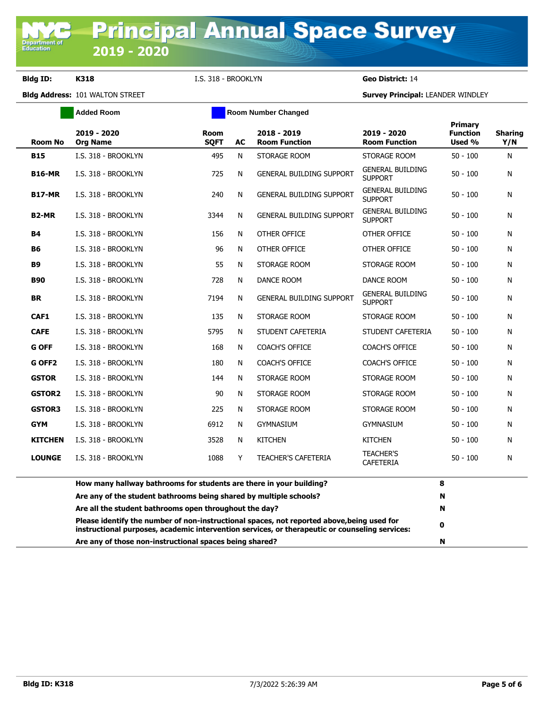**Bldg ID: K318** I.S. 318 - BROOKLYN **Geo District:** 14

|                    | <b>Added Room</b>                                                                                                                                                                            |                            | <b>Room Number Changed</b> |                                     |                                           |                                             |                       |
|--------------------|----------------------------------------------------------------------------------------------------------------------------------------------------------------------------------------------|----------------------------|----------------------------|-------------------------------------|-------------------------------------------|---------------------------------------------|-----------------------|
| <b>Room No</b>     | 2019 - 2020<br><b>Org Name</b>                                                                                                                                                               | <b>Room</b><br><b>SOFT</b> | AC                         | 2018 - 2019<br><b>Room Function</b> | 2019 - 2020<br><b>Room Function</b>       | <b>Primary</b><br><b>Function</b><br>Used % | <b>Sharing</b><br>Y/N |
| <b>B15</b>         | I.S. 318 - BROOKLYN                                                                                                                                                                          | 495                        | N                          | STORAGE ROOM                        | STORAGE ROOM                              | $50 - 100$                                  | N                     |
| <b>B16-MR</b>      | I.S. 318 - BROOKLYN                                                                                                                                                                          | 725                        | N                          | <b>GENERAL BUILDING SUPPORT</b>     | <b>GENERAL BUILDING</b><br><b>SUPPORT</b> | $50 - 100$                                  | N                     |
| <b>B17-MR</b>      | I.S. 318 - BROOKLYN                                                                                                                                                                          | 240                        | N                          | <b>GENERAL BUILDING SUPPORT</b>     | <b>GENERAL BUILDING</b><br><b>SUPPORT</b> | $50 - 100$                                  | N                     |
| B <sub>2</sub> -MR | I.S. 318 - BROOKLYN                                                                                                                                                                          | 3344                       | N                          | <b>GENERAL BUILDING SUPPORT</b>     | <b>GENERAL BUILDING</b><br><b>SUPPORT</b> | $50 - 100$                                  | N                     |
| <b>B4</b>          | I.S. 318 - BROOKLYN                                                                                                                                                                          | 156                        | N                          | OTHER OFFICE                        | OTHER OFFICE                              | $50 - 100$                                  | N                     |
| <b>B6</b>          | I.S. 318 - BROOKLYN                                                                                                                                                                          | 96                         | N                          | OTHER OFFICE                        | OTHER OFFICE                              | $50 - 100$                                  | N                     |
| <b>B</b> 9         | I.S. 318 - BROOKLYN                                                                                                                                                                          | 55                         | N                          | STORAGE ROOM                        | STORAGE ROOM                              | $50 - 100$                                  | N                     |
| <b>B90</b>         | I.S. 318 - BROOKLYN                                                                                                                                                                          | 728                        | N                          | DANCE ROOM                          | DANCE ROOM                                | $50 - 100$                                  | N                     |
| <b>BR</b>          | I.S. 318 - BROOKLYN                                                                                                                                                                          | 7194                       | N                          | <b>GENERAL BUILDING SUPPORT</b>     | <b>GENERAL BUILDING</b><br><b>SUPPORT</b> | $50 - 100$                                  | N                     |
| CAF1               | I.S. 318 - BROOKLYN                                                                                                                                                                          | 135                        | N                          | STORAGE ROOM                        | STORAGE ROOM                              | $50 - 100$                                  | N                     |
| <b>CAFE</b>        | I.S. 318 - BROOKLYN                                                                                                                                                                          | 5795                       | N                          | STUDENT CAFETERIA                   | STUDENT CAFETERIA                         | $50 - 100$                                  | N                     |
| <b>G OFF</b>       | I.S. 318 - BROOKLYN                                                                                                                                                                          | 168                        | N                          | <b>COACH'S OFFICE</b>               | <b>COACH'S OFFICE</b>                     | $50 - 100$                                  | N                     |
| G OFF <sub>2</sub> | I.S. 318 - BROOKLYN                                                                                                                                                                          | 180                        | N                          | <b>COACH'S OFFICE</b>               | <b>COACH'S OFFICE</b>                     | $50 - 100$                                  | N                     |
| <b>GSTOR</b>       | I.S. 318 - BROOKLYN                                                                                                                                                                          | 144                        | N                          | STORAGE ROOM                        | STORAGE ROOM                              | $50 - 100$                                  | N                     |
| <b>GSTOR2</b>      | I.S. 318 - BROOKLYN                                                                                                                                                                          | 90                         | N                          | STORAGE ROOM                        | STORAGE ROOM                              | $50 - 100$                                  | N                     |
| <b>GSTOR3</b>      | I.S. 318 - BROOKLYN                                                                                                                                                                          | 225                        | N                          | STORAGE ROOM                        | STORAGE ROOM                              | $50 - 100$                                  | N                     |
| <b>GYM</b>         | I.S. 318 - BROOKLYN                                                                                                                                                                          | 6912                       | N                          | <b>GYMNASIUM</b>                    | <b>GYMNASIUM</b>                          | $50 - 100$                                  | N                     |
| <b>KITCHEN</b>     | I.S. 318 - BROOKLYN                                                                                                                                                                          | 3528                       | N                          | <b>KITCHEN</b>                      | <b>KITCHEN</b>                            | $50 - 100$                                  | N                     |
| <b>LOUNGE</b>      | I.S. 318 - BROOKLYN                                                                                                                                                                          | 1088                       | Y                          | <b>TEACHER'S CAFETERIA</b>          | <b>TEACHER'S</b><br><b>CAFETERIA</b>      | $50 - 100$                                  | N                     |
|                    | How many hallway bathrooms for students are there in your building?                                                                                                                          |                            |                            |                                     |                                           | 8                                           |                       |
|                    | Are any of the student bathrooms being shared by multiple schools?                                                                                                                           |                            |                            |                                     |                                           | N                                           |                       |
|                    | Are all the student bathrooms open throughout the day?                                                                                                                                       |                            |                            |                                     |                                           | N                                           |                       |
|                    | Please identify the number of non-instructional spaces, not reported above, being used for<br>instructional purposes, academic intervention services, or therapeutic or counseling services: |                            |                            |                                     |                                           | 0                                           |                       |
|                    | Are any of those non-instructional spaces being shared?                                                                                                                                      |                            | N                          |                                     |                                           |                                             |                       |